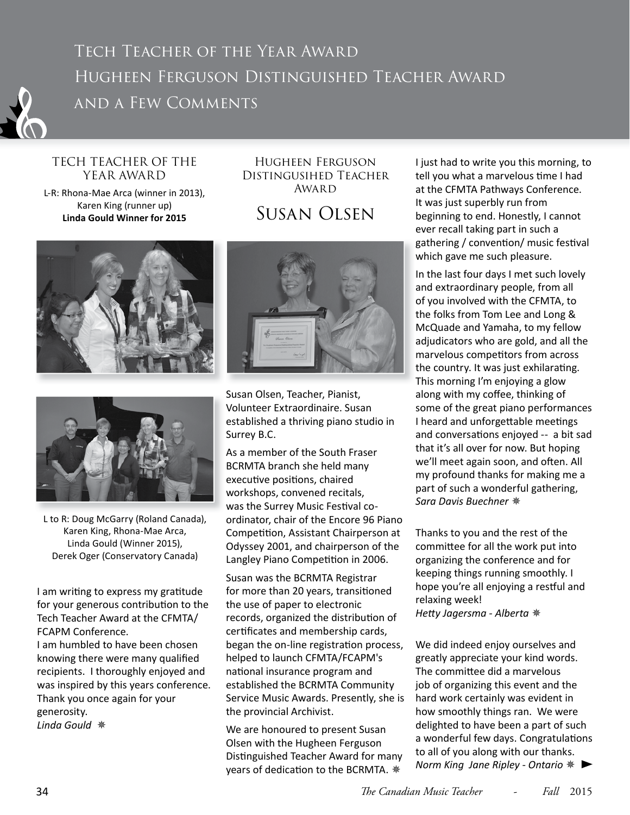

## TECH TEACHER OF THE YEAR AWARD

L-R: Rhona-Mae Arca (winner in 2013), Karen King (runner up) **Linda Gould Winner for 2015**

## Hugheen Ferguson Distingusihed Teacher AWARD

## Susan Olsen





L to R: Doug McGarry (Roland Canada), Karen King, Rhona-Mae Arca, Linda Gould (Winner 2015), Derek Oger (Conservatory Canada)

I am writing to express my gratitude for your generous contribution to the Tech Teacher Award at the CFMTA/ FCAPM Conference. I am humbled to have been chosen

knowing there were many qualified recipients. I thoroughly enjoyed and was inspired by this years conference. Thank you once again for your generosity. *Linda Gould* ✵



Susan Olsen, Teacher, Pianist, Volunteer Extraordinaire. Susan established a thriving piano studio in Surrey B.C.

As a member of the South Fraser BCRMTA branch she held many executive positions, chaired workshops, convened recitals, was the Surrey Music Festival coordinator, chair of the Encore 96 Piano Competition, Assistant Chairperson at Odyssey 2001, and chairperson of the Langley Piano Competition in 2006.

Susan was the BCRMTA Registrar for more than 20 years, transitioned the use of paper to electronic records, organized the distribution of certificates and membership cards, began the on-line registration process, helped to launch CFMTA/FCAPM's national insurance program and established the BCRMTA Community Service Music Awards. Presently, she is the provincial Archivist.

We are honoured to present Susan Olsen with the Hugheen Ferguson Distinguished Teacher Award for many years of dedication to the BCRMTA.  $*$ 

I just had to write you this morning, to tell you what a marvelous time I had at the CFMTA Pathways Conference. It was just superbly run from beginning to end. Honestly, I cannot ever recall taking part in such a gathering / convention/ music festival which gave me such pleasure.

In the last four days I met such lovely and extraordinary people, from all of you involved with the CFMTA, to the folks from Tom Lee and Long & McQuade and Yamaha, to my fellow adjudicators who are gold, and all the marvelous competitors from across the country. It was just exhilarating. This morning I'm enjoying a glow along with my coffee, thinking of some of the great piano performances I heard and unforgettable meetings and conversations enjoyed -- a bit sad that it's all over for now. But hoping we'll meet again soon, and often. All my profound thanks for making me a part of such a wonderful gathering, *Sara Davis Buechner* ✵

Thanks to you and the rest of the committee for all the work put into organizing the conference and for keeping things running smoothly. I hope you're all enjoying a restful and relaxing week! *Hett y Jagersma - Alberta* ✵

We did indeed enjoy ourselves and greatly appreciate your kind words. The committee did a marvelous job of organizing this event and the hard work certainly was evident in how smoothly things ran. We were delighted to have been a part of such a wonderful few days. Congratulations to all of you along with our thanks. *Norm King Jane Ripley - Ontario* ✵